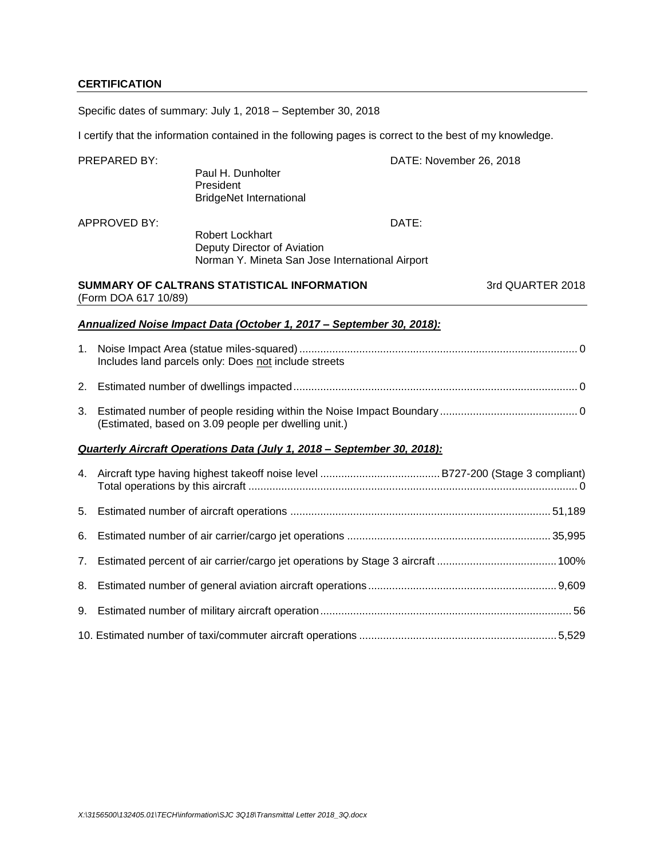### **CERTIFICATION**

Specific dates of summary: July 1, 2018 – September 30, 2018

I certify that the information contained in the following pages is correct to the best of my knowledge.

|                | PREPARED BY:         | Paul H. Dunholter<br>President<br><b>BridgeNet International</b>                                         | DATE: November 26, 2018 |                  |  |  |  |  |
|----------------|----------------------|----------------------------------------------------------------------------------------------------------|-------------------------|------------------|--|--|--|--|
|                | <b>APPROVED BY:</b>  | <b>Robert Lockhart</b><br>Deputy Director of Aviation<br>Norman Y. Mineta San Jose International Airport | DATE:                   |                  |  |  |  |  |
|                | (Form DOA 617 10/89) | SUMMARY OF CALTRANS STATISTICAL INFORMATION                                                              |                         | 3rd QUARTER 2018 |  |  |  |  |
|                |                      | Annualized Noise Impact Data (October 1, 2017 - September 30, 2018):                                     |                         |                  |  |  |  |  |
| 1.             |                      | Includes land parcels only: Does not include streets                                                     |                         |                  |  |  |  |  |
| 2.             |                      |                                                                                                          |                         |                  |  |  |  |  |
| 3.             |                      | (Estimated, based on 3.09 people per dwelling unit.)                                                     |                         |                  |  |  |  |  |
|                |                      | Quarterly Aircraft Operations Data (July 1, 2018 - September 30, 2018):                                  |                         |                  |  |  |  |  |
| 4.             |                      |                                                                                                          |                         |                  |  |  |  |  |
| 5.             |                      |                                                                                                          |                         |                  |  |  |  |  |
| 6.             |                      |                                                                                                          |                         |                  |  |  |  |  |
| 7 <sub>1</sub> |                      |                                                                                                          |                         |                  |  |  |  |  |
| 8.             |                      |                                                                                                          |                         |                  |  |  |  |  |
| 9.             |                      |                                                                                                          |                         |                  |  |  |  |  |
|                |                      |                                                                                                          |                         |                  |  |  |  |  |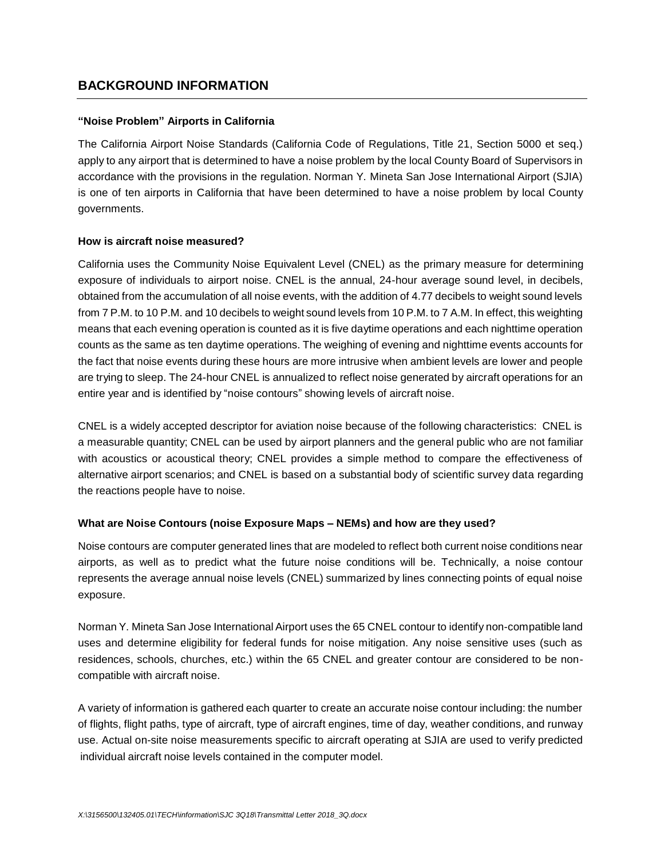## **BACKGROUND INFORMATION**

### **"Noise Problem" Airports in California**

The California Airport Noise Standards (California Code of Regulations, Title 21, Section 5000 et seq.) apply to any airport that is determined to have a noise problem by the local County Board of Supervisors in accordance with the provisions in the regulation. Norman Y. Mineta San Jose International Airport (SJIA) is one of ten airports in California that have been determined to have a noise problem by local County governments.

### **How is aircraft noise measured?**

California uses the Community Noise Equivalent Level (CNEL) as the primary measure for determining exposure of individuals to airport noise. CNEL is the annual, 24-hour average sound level, in decibels, obtained from the accumulation of all noise events, with the addition of 4.77 decibels to weight sound levels from 7 P.M. to 10 P.M. and 10 decibels to weight sound levels from 10 P.M. to 7 A.M. In effect, this weighting means that each evening operation is counted as it is five daytime operations and each nighttime operation counts as the same as ten daytime operations. The weighing of evening and nighttime events accounts for the fact that noise events during these hours are more intrusive when ambient levels are lower and people are trying to sleep. The 24-hour CNEL is annualized to reflect noise generated by aircraft operations for an entire year and is identified by "noise contours" showing levels of aircraft noise.

CNEL is a widely accepted descriptor for aviation noise because of the following characteristics: CNEL is a measurable quantity; CNEL can be used by airport planners and the general public who are not familiar with acoustics or acoustical theory; CNEL provides a simple method to compare the effectiveness of alternative airport scenarios; and CNEL is based on a substantial body of scientific survey data regarding the reactions people have to noise.

### **What are Noise Contours (noise Exposure Maps – NEMs) and how are they used?**

Noise contours are computer generated lines that are modeled to reflect both current noise conditions near airports, as well as to predict what the future noise conditions will be. Technically, a noise contour represents the average annual noise levels (CNEL) summarized by lines connecting points of equal noise exposure.

Norman Y. Mineta San Jose International Airport uses the 65 CNEL contour to identify non-compatible land uses and determine eligibility for federal funds for noise mitigation. Any noise sensitive uses (such as residences, schools, churches, etc.) within the 65 CNEL and greater contour are considered to be noncompatible with aircraft noise.

A variety of information is gathered each quarter to create an accurate noise contour including: the number of flights, flight paths, type of aircraft, type of aircraft engines, time of day, weather conditions, and runway use. Actual on-site noise measurements specific to aircraft operating at SJIA are used to verify predicted individual aircraft noise levels contained in the computer model.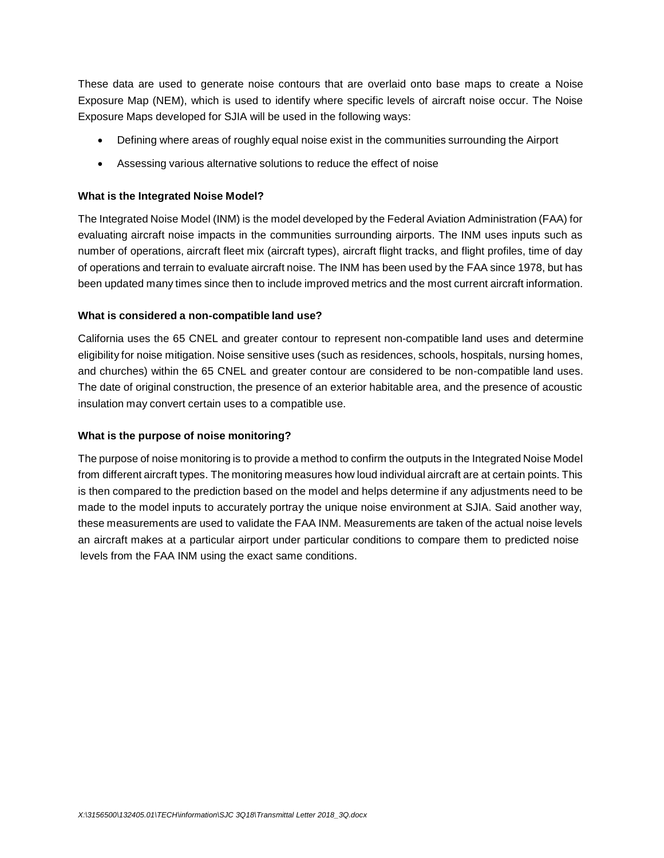These data are used to generate noise contours that are overlaid onto base maps to create a Noise Exposure Map (NEM), which is used to identify where specific levels of aircraft noise occur. The Noise Exposure Maps developed for SJIA will be used in the following ways:

- Defining where areas of roughly equal noise exist in the communities surrounding the Airport
- Assessing various alternative solutions to reduce the effect of noise

### **What is the Integrated Noise Model?**

The Integrated Noise Model (INM) is the model developed by the Federal Aviation Administration (FAA) for evaluating aircraft noise impacts in the communities surrounding airports. The INM uses inputs such as number of operations, aircraft fleet mix (aircraft types), aircraft flight tracks, and flight profiles, time of day of operations and terrain to evaluate aircraft noise. The INM has been used by the FAA since 1978, but has been updated many times since then to include improved metrics and the most current aircraft information.

### **What is considered a non-compatible land use?**

California uses the 65 CNEL and greater contour to represent non-compatible land uses and determine eligibility for noise mitigation. Noise sensitive uses (such as residences, schools, hospitals, nursing homes, and churches) within the 65 CNEL and greater contour are considered to be non-compatible land uses. The date of original construction, the presence of an exterior habitable area, and the presence of acoustic insulation may convert certain uses to a compatible use.

### **What is the purpose of noise monitoring?**

The purpose of noise monitoring is to provide a method to confirm the outputs in the Integrated Noise Model from different aircraft types. The monitoring measures how loud individual aircraft are at certain points. This is then compared to the prediction based on the model and helps determine if any adjustments need to be made to the model inputs to accurately portray the unique noise environment at SJIA. Said another way, these measurements are used to validate the FAA INM. Measurements are taken of the actual noise levels an aircraft makes at a particular airport under particular conditions to compare them to predicted noise levels from the FAA INM using the exact same conditions.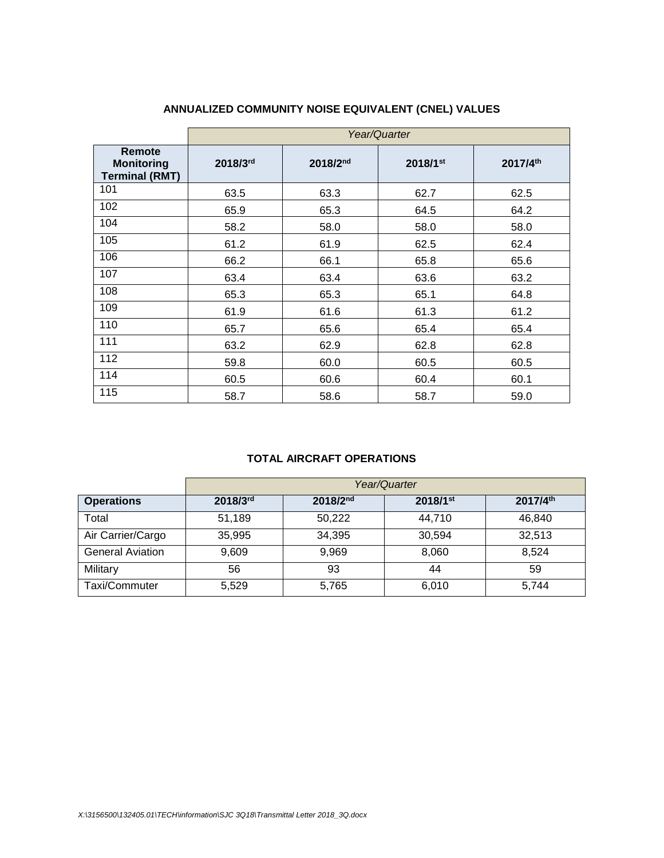|                                                      |          | Year/Quarter |          |          |  |  |  |  |  |  |  |  |  |
|------------------------------------------------------|----------|--------------|----------|----------|--|--|--|--|--|--|--|--|--|
| Remote<br><b>Monitoring</b><br><b>Terminal (RMT)</b> | 2018/3rd | 2018/2nd     | 2018/1st | 2017/4th |  |  |  |  |  |  |  |  |  |
| 101                                                  | 63.5     | 63.3         | 62.7     | 62.5     |  |  |  |  |  |  |  |  |  |
| 102                                                  | 65.9     | 65.3         | 64.5     | 64.2     |  |  |  |  |  |  |  |  |  |
| 104                                                  | 58.2     | 58.0         | 58.0     | 58.0     |  |  |  |  |  |  |  |  |  |
| 105                                                  | 61.2     | 61.9         | 62.5     | 62.4     |  |  |  |  |  |  |  |  |  |
| 106                                                  | 66.2     | 66.1         | 65.8     | 65.6     |  |  |  |  |  |  |  |  |  |
| 107                                                  | 63.4     | 63.4         | 63.6     | 63.2     |  |  |  |  |  |  |  |  |  |
| 108                                                  | 65.3     | 65.3         | 65.1     | 64.8     |  |  |  |  |  |  |  |  |  |
| 109                                                  | 61.9     | 61.6         | 61.3     | 61.2     |  |  |  |  |  |  |  |  |  |
| 110                                                  | 65.7     | 65.6         | 65.4     | 65.4     |  |  |  |  |  |  |  |  |  |
| 111                                                  | 63.2     | 62.9         | 62.8     | 62.8     |  |  |  |  |  |  |  |  |  |
| 112                                                  | 59.8     | 60.0         | 60.5     | 60.5     |  |  |  |  |  |  |  |  |  |
| 114                                                  | 60.5     | 60.6         | 60.4     | 60.1     |  |  |  |  |  |  |  |  |  |
| 115                                                  | 58.7     | 58.6         | 58.7     | 59.0     |  |  |  |  |  |  |  |  |  |

# **ANNUALIZED COMMUNITY NOISE EQUIVALENT (CNEL) VALUES**

## **TOTAL AIRCRAFT OPERATIONS**

|                         | Year/Quarter |               |                        |          |  |  |  |  |  |  |  |  |
|-------------------------|--------------|---------------|------------------------|----------|--|--|--|--|--|--|--|--|
| <b>Operations</b>       | 2018/3rd     | $2018/2^{nd}$ | $2018/1$ <sup>st</sup> | 2017/4th |  |  |  |  |  |  |  |  |
| Total                   | 51,189       | 50,222        | 44,710                 | 46.840   |  |  |  |  |  |  |  |  |
| Air Carrier/Cargo       | 35,995       | 34,395        | 30,594                 | 32,513   |  |  |  |  |  |  |  |  |
| <b>General Aviation</b> | 9,609        | 9,969         | 8,060                  | 8,524    |  |  |  |  |  |  |  |  |
| Military                | 56           | 93            | 44                     | 59       |  |  |  |  |  |  |  |  |
| Taxi/Commuter           | 5,529        | 5,765         | 6,010                  | 5,744    |  |  |  |  |  |  |  |  |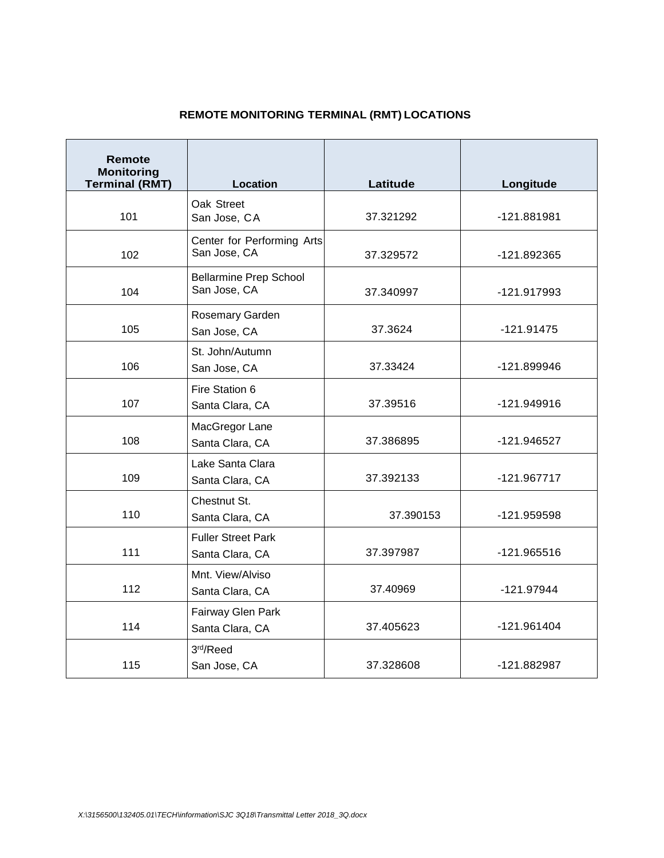# **REMOTE MONITORING TERMINAL (RMT) LOCATIONS**

| <b>Remote</b><br><b>Monitoring</b><br><b>Terminal (RMT)</b> | Location                                      | Latitude  | Longitude     |  |  |
|-------------------------------------------------------------|-----------------------------------------------|-----------|---------------|--|--|
| 101                                                         | Oak Street<br>San Jose, CA                    | 37.321292 | -121.881981   |  |  |
| 102                                                         | Center for Performing Arts<br>San Jose, CA    | 37.329572 | -121.892365   |  |  |
| 104                                                         | <b>Bellarmine Prep School</b><br>San Jose, CA | 37.340997 | -121.917993   |  |  |
| 105                                                         | Rosemary Garden<br>San Jose, CA               | 37.3624   | -121.91475    |  |  |
| 106                                                         | St. John/Autumn<br>San Jose, CA               | 37.33424  | -121.899946   |  |  |
| 107                                                         | Fire Station 6<br>Santa Clara, CA             | 37.39516  | -121.949916   |  |  |
| 108                                                         | MacGregor Lane<br>Santa Clara, CA             | 37.386895 | -121.946527   |  |  |
| 109                                                         | Lake Santa Clara<br>Santa Clara, CA           | 37.392133 | $-121.967717$ |  |  |
| 110                                                         | Chestnut St.<br>Santa Clara, CA               | 37.390153 | -121.959598   |  |  |
| 111                                                         | <b>Fuller Street Park</b><br>Santa Clara, CA  | 37.397987 | $-121.965516$ |  |  |
| 112                                                         | Mnt. View/Alviso<br>Santa Clara, CA           | 37.40969  | -121.97944    |  |  |
| 114                                                         | Fairway Glen Park<br>Santa Clara, CA          | 37.405623 | $-121.961404$ |  |  |
| 115                                                         | 3rd/Reed<br>San Jose, CA                      | 37.328608 | -121.882987   |  |  |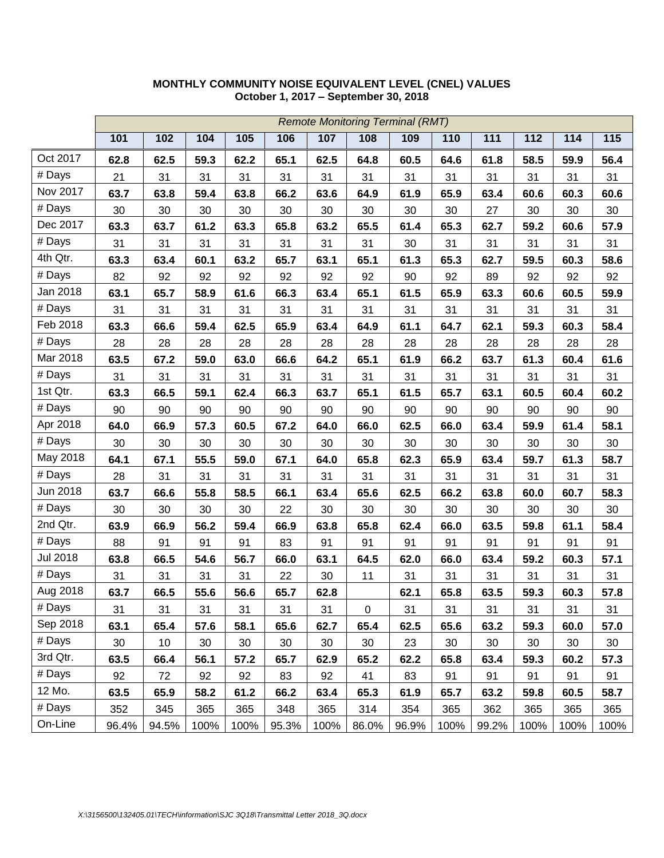|                 |       |       |      |      |       |      | <b>Remote Monitoring Terminal (RMT)</b> |       |      |       |      |      |      |
|-----------------|-------|-------|------|------|-------|------|-----------------------------------------|-------|------|-------|------|------|------|
|                 | 101   | 102   | 104  | 105  | 106   | 107  | 108                                     | 109   | 110  | 111   | 112  | 114  | 115  |
| Oct 2017        | 62.8  | 62.5  | 59.3 | 62.2 | 65.1  | 62.5 | 64.8                                    | 60.5  | 64.6 | 61.8  | 58.5 | 59.9 | 56.4 |
| # Days          | 21    | 31    | 31   | 31   | 31    | 31   | 31                                      | 31    | 31   | 31    | 31   | 31   | 31   |
| Nov 2017        | 63.7  | 63.8  | 59.4 | 63.8 | 66.2  | 63.6 | 64.9                                    | 61.9  | 65.9 | 63.4  | 60.6 | 60.3 | 60.6 |
| # Days          | 30    | 30    | 30   | 30   | 30    | 30   | 30                                      | 30    | 30   | 27    | 30   | 30   | 30   |
| Dec 2017        | 63.3  | 63.7  | 61.2 | 63.3 | 65.8  | 63.2 | 65.5                                    | 61.4  | 65.3 | 62.7  | 59.2 | 60.6 | 57.9 |
| # Days          | 31    | 31    | 31   | 31   | 31    | 31   | 31                                      | 30    | 31   | 31    | 31   | 31   | 31   |
| 4th Qtr.        | 63.3  | 63.4  | 60.1 | 63.2 | 65.7  | 63.1 | 65.1                                    | 61.3  | 65.3 | 62.7  | 59.5 | 60.3 | 58.6 |
| # Days          | 82    | 92    | 92   | 92   | 92    | 92   | 92                                      | 90    | 92   | 89    | 92   | 92   | 92   |
| Jan 2018        | 63.1  | 65.7  | 58.9 | 61.6 | 66.3  | 63.4 | 65.1                                    | 61.5  | 65.9 | 63.3  | 60.6 | 60.5 | 59.9 |
| # Days          | 31    | 31    | 31   | 31   | 31    | 31   | 31                                      | 31    | 31   | 31    | 31   | 31   | 31   |
| Feb 2018        | 63.3  | 66.6  | 59.4 | 62.5 | 65.9  | 63.4 | 64.9                                    | 61.1  | 64.7 | 62.1  | 59.3 | 60.3 | 58.4 |
| # Days          | 28    | 28    | 28   | 28   | 28    | 28   | 28                                      | 28    | 28   | 28    | 28   | 28   | 28   |
| Mar 2018        | 63.5  | 67.2  | 59.0 | 63.0 | 66.6  | 64.2 | 65.1                                    | 61.9  | 66.2 | 63.7  | 61.3 | 60.4 | 61.6 |
| # Days          | 31    | 31    | 31   | 31   | 31    | 31   | 31                                      | 31    | 31   | 31    | 31   | 31   | 31   |
| 1st Qtr.        | 63.3  | 66.5  | 59.1 | 62.4 | 66.3  | 63.7 | 65.1                                    | 61.5  | 65.7 | 63.1  | 60.5 | 60.4 | 60.2 |
| # Days          | 90    | 90    | 90   | 90   | 90    | 90   | 90                                      | 90    | 90   | 90    | 90   | 90   | 90   |
| Apr 2018        | 64.0  | 66.9  | 57.3 | 60.5 | 67.2  | 64.0 | 66.0                                    | 62.5  | 66.0 | 63.4  | 59.9 | 61.4 | 58.1 |
| # Days          | 30    | 30    | 30   | 30   | 30    | 30   | 30                                      | 30    | 30   | 30    | 30   | 30   | 30   |
| May 2018        | 64.1  | 67.1  | 55.5 | 59.0 | 67.1  | 64.0 | 65.8                                    | 62.3  | 65.9 | 63.4  | 59.7 | 61.3 | 58.7 |
| # Days          | 28    | 31    | 31   | 31   | 31    | 31   | 31                                      | 31    | 31   | 31    | 31   | 31   | 31   |
| Jun 2018        | 63.7  | 66.6  | 55.8 | 58.5 | 66.1  | 63.4 | 65.6                                    | 62.5  | 66.2 | 63.8  | 60.0 | 60.7 | 58.3 |
| # Days          | 30    | 30    | 30   | 30   | 22    | 30   | 30                                      | 30    | 30   | 30    | 30   | 30   | 30   |
| 2nd Qtr.        | 63.9  | 66.9  | 56.2 | 59.4 | 66.9  | 63.8 | 65.8                                    | 62.4  | 66.0 | 63.5  | 59.8 | 61.1 | 58.4 |
| # Days          | 88    | 91    | 91   | 91   | 83    | 91   | 91                                      | 91    | 91   | 91    | 91   | 91   | 91   |
| <b>Jul 2018</b> | 63.8  | 66.5  | 54.6 | 56.7 | 66.0  | 63.1 | 64.5                                    | 62.0  | 66.0 | 63.4  | 59.2 | 60.3 | 57.1 |
| # Days          | 31    | 31    | 31   | 31   | 22    | 30   | 11                                      | 31    | 31   | 31    | 31   | 31   | 31   |
| Aug 2018        | 63.7  | 66.5  | 55.6 | 56.6 | 65.7  | 62.8 |                                         | 62.1  | 65.8 | 63.5  | 59.3 | 60.3 | 57.8 |
| # Days          | 31    | 31    | 31   | 31   | 31    | 31   | $\pmb{0}$                               | 31    | 31   | 31    | 31   | 31   | 31   |
| Sep 2018        | 63.1  | 65.4  | 57.6 | 58.1 | 65.6  | 62.7 | 65.4                                    | 62.5  | 65.6 | 63.2  | 59.3 | 60.0 | 57.0 |
| # Days          | 30    | 10    | 30   | 30   | 30    | 30   | 30                                      | 23    | 30   | 30    | 30   | 30   | 30   |
| 3rd Qtr.        | 63.5  | 66.4  | 56.1 | 57.2 | 65.7  | 62.9 | 65.2                                    | 62.2  | 65.8 | 63.4  | 59.3 | 60.2 | 57.3 |
| # Days          | 92    | 72    | 92   | 92   | 83    | 92   | 41                                      | 83    | 91   | 91    | 91   | 91   | 91   |
| 12 Mo.          | 63.5  | 65.9  | 58.2 | 61.2 | 66.2  | 63.4 | 65.3                                    | 61.9  | 65.7 | 63.2  | 59.8 | 60.5 | 58.7 |
| # Days          | 352   | 345   | 365  | 365  | 348   | 365  | 314                                     | 354   | 365  | 362   | 365  | 365  | 365  |
| On-Line         | 96.4% | 94.5% | 100% | 100% | 95.3% | 100% | 86.0%                                   | 96.9% | 100% | 99.2% | 100% | 100% | 100% |

### **MONTHLY COMMUNITY NOISE EQUIVALENT LEVEL (CNEL) VALUES October 1, 2017 – September 30, 2018**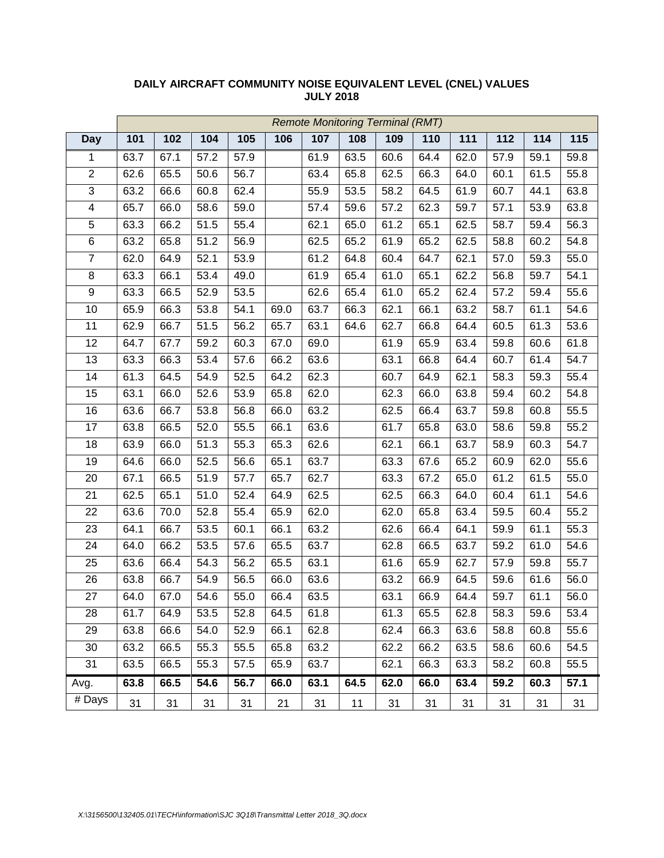|                         | <b>Remote Monitoring Terminal (RMT)</b> |      |                   |      |      |      |      |      |      |      |      |      |      |
|-------------------------|-----------------------------------------|------|-------------------|------|------|------|------|------|------|------|------|------|------|
| <b>Day</b>              | 101                                     | 102  | 104               | 105  | 106  | 107  | 108  | 109  | 110  | 111  | 112  | 114  | 115  |
| $\mathbf{1}$            | 63.7                                    | 67.1 | 57.2              | 57.9 |      | 61.9 | 63.5 | 60.6 | 64.4 | 62.0 | 57.9 | 59.1 | 59.8 |
| $\overline{2}$          | 62.6                                    | 65.5 | 50.6              | 56.7 |      | 63.4 | 65.8 | 62.5 | 66.3 | 64.0 | 60.1 | 61.5 | 55.8 |
| 3                       | 63.2                                    | 66.6 | 60.8              | 62.4 |      | 55.9 | 53.5 | 58.2 | 64.5 | 61.9 | 60.7 | 44.1 | 63.8 |
| $\overline{\mathbf{4}}$ | 65.7                                    | 66.0 | 58.6              | 59.0 |      | 57.4 | 59.6 | 57.2 | 62.3 | 59.7 | 57.1 | 53.9 | 63.8 |
| $\overline{5}$          | 63.3                                    | 66.2 | $\overline{51.5}$ | 55.4 |      | 62.1 | 65.0 | 61.2 | 65.1 | 62.5 | 58.7 | 59.4 | 56.3 |
| $\,6$                   | 63.2                                    | 65.8 | 51.2              | 56.9 |      | 62.5 | 65.2 | 61.9 | 65.2 | 62.5 | 58.8 | 60.2 | 54.8 |
| $\overline{7}$          | 62.0                                    | 64.9 | 52.1              | 53.9 |      | 61.2 | 64.8 | 60.4 | 64.7 | 62.1 | 57.0 | 59.3 | 55.0 |
| $\,8\,$                 | 63.3                                    | 66.1 | 53.4              | 49.0 |      | 61.9 | 65.4 | 61.0 | 65.1 | 62.2 | 56.8 | 59.7 | 54.1 |
| $\boldsymbol{9}$        | 63.3                                    | 66.5 | 52.9              | 53.5 |      | 62.6 | 65.4 | 61.0 | 65.2 | 62.4 | 57.2 | 59.4 | 55.6 |
| 10                      | 65.9                                    | 66.3 | 53.8              | 54.1 | 69.0 | 63.7 | 66.3 | 62.1 | 66.1 | 63.2 | 58.7 | 61.1 | 54.6 |
| 11                      | 62.9                                    | 66.7 | 51.5              | 56.2 | 65.7 | 63.1 | 64.6 | 62.7 | 66.8 | 64.4 | 60.5 | 61.3 | 53.6 |
| 12                      | 64.7                                    | 67.7 | 59.2              | 60.3 | 67.0 | 69.0 |      | 61.9 | 65.9 | 63.4 | 59.8 | 60.6 | 61.8 |
| 13                      | 63.3                                    | 66.3 | 53.4              | 57.6 | 66.2 | 63.6 |      | 63.1 | 66.8 | 64.4 | 60.7 | 61.4 | 54.7 |
| 14                      | 61.3                                    | 64.5 | 54.9              | 52.5 | 64.2 | 62.3 |      | 60.7 | 64.9 | 62.1 | 58.3 | 59.3 | 55.4 |
| 15                      | 63.1                                    | 66.0 | 52.6              | 53.9 | 65.8 | 62.0 |      | 62.3 | 66.0 | 63.8 | 59.4 | 60.2 | 54.8 |
| 16                      | 63.6                                    | 66.7 | 53.8              | 56.8 | 66.0 | 63.2 |      | 62.5 | 66.4 | 63.7 | 59.8 | 60.8 | 55.5 |
| 17                      | 63.8                                    | 66.5 | 52.0              | 55.5 | 66.1 | 63.6 |      | 61.7 | 65.8 | 63.0 | 58.6 | 59.8 | 55.2 |
| 18                      | 63.9                                    | 66.0 | 51.3              | 55.3 | 65.3 | 62.6 |      | 62.1 | 66.1 | 63.7 | 58.9 | 60.3 | 54.7 |
| 19                      | 64.6                                    | 66.0 | 52.5              | 56.6 | 65.1 | 63.7 |      | 63.3 | 67.6 | 65.2 | 60.9 | 62.0 | 55.6 |
| 20                      | 67.1                                    | 66.5 | 51.9              | 57.7 | 65.7 | 62.7 |      | 63.3 | 67.2 | 65.0 | 61.2 | 61.5 | 55.0 |
| 21                      | 62.5                                    | 65.1 | 51.0              | 52.4 | 64.9 | 62.5 |      | 62.5 | 66.3 | 64.0 | 60.4 | 61.1 | 54.6 |
| 22                      | 63.6                                    | 70.0 | 52.8              | 55.4 | 65.9 | 62.0 |      | 62.0 | 65.8 | 63.4 | 59.5 | 60.4 | 55.2 |
| 23                      | 64.1                                    | 66.7 | 53.5              | 60.1 | 66.1 | 63.2 |      | 62.6 | 66.4 | 64.1 | 59.9 | 61.1 | 55.3 |
| 24                      | 64.0                                    | 66.2 | 53.5              | 57.6 | 65.5 | 63.7 |      | 62.8 | 66.5 | 63.7 | 59.2 | 61.0 | 54.6 |
| 25                      | 63.6                                    | 66.4 | 54.3              | 56.2 | 65.5 | 63.1 |      | 61.6 | 65.9 | 62.7 | 57.9 | 59.8 | 55.7 |
| 26                      | 63.8                                    | 66.7 | 54.9              | 56.5 | 66.0 | 63.6 |      | 63.2 | 66.9 | 64.5 | 59.6 | 61.6 | 56.0 |
| 27                      | 64.0                                    | 67.0 | 54.6              | 55.0 | 66.4 | 63.5 |      | 63.1 | 66.9 | 64.4 | 59.7 | 61.1 | 56.0 |
| 28                      | 61.7                                    | 64.9 | 53.5              | 52.8 | 64.5 | 61.8 |      | 61.3 | 65.5 | 62.8 | 58.3 | 59.6 | 53.4 |
| 29                      | 63.8                                    | 66.6 | 54.0              | 52.9 | 66.1 | 62.8 |      | 62.4 | 66.3 | 63.6 | 58.8 | 60.8 | 55.6 |
| 30                      | 63.2                                    | 66.5 | 55.3              | 55.5 | 65.8 | 63.2 |      | 62.2 | 66.2 | 63.5 | 58.6 | 60.6 | 54.5 |
| 31                      | 63.5                                    | 66.5 | 55.3              | 57.5 | 65.9 | 63.7 |      | 62.1 | 66.3 | 63.3 | 58.2 | 60.8 | 55.5 |
| Avg.                    | 63.8                                    | 66.5 | 54.6              | 56.7 | 66.0 | 63.1 | 64.5 | 62.0 | 66.0 | 63.4 | 59.2 | 60.3 | 57.1 |
| $#$ Days                | 31                                      | 31   | 31                | 31   | 21   | 31   | 11   | 31   | 31   | 31   | 31   | 31   | 31   |

### **DAILY AIRCRAFT COMMUNITY NOISE EQUIVALENT LEVEL (CNEL) VALUES JULY 2018**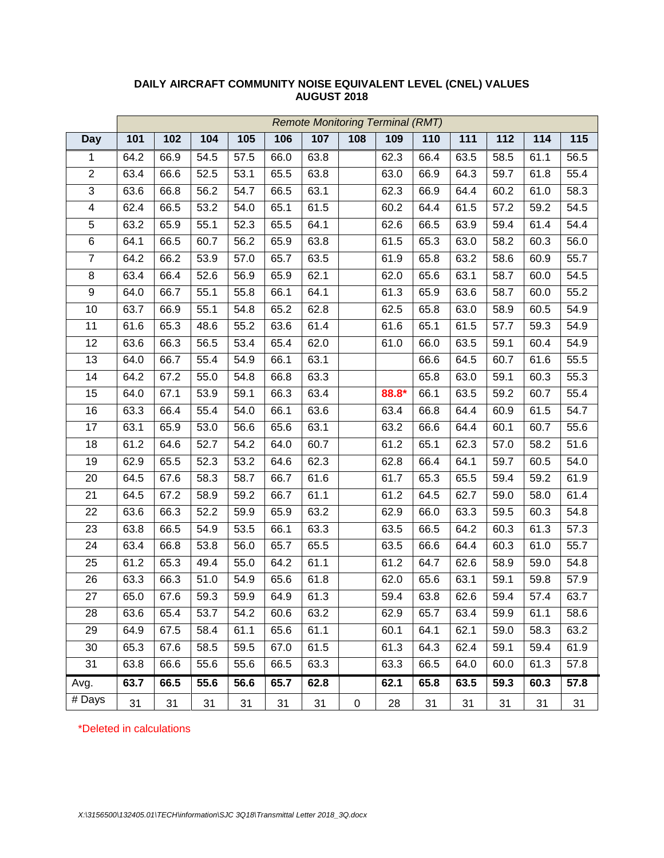|                          | <b>Remote Monitoring Terminal (RMT)</b> |      |      |      |      |      |           |       |      |      |      |      |                   |
|--------------------------|-----------------------------------------|------|------|------|------|------|-----------|-------|------|------|------|------|-------------------|
| <b>Day</b>               | 101                                     | 102  | 104  | 105  | 106  | 107  | 108       | 109   | 110  | 111  | 112  | 114  | 115               |
| $\mathbf{1}$             | 64.2                                    | 66.9 | 54.5 | 57.5 | 66.0 | 63.8 |           | 62.3  | 66.4 | 63.5 | 58.5 | 61.1 | 56.5              |
| $\overline{2}$           | 63.4                                    | 66.6 | 52.5 | 53.1 | 65.5 | 63.8 |           | 63.0  | 66.9 | 64.3 | 59.7 | 61.8 | 55.4              |
| $\overline{3}$           | 63.6                                    | 66.8 | 56.2 | 54.7 | 66.5 | 63.1 |           | 62.3  | 66.9 | 64.4 | 60.2 | 61.0 | 58.3              |
| $\overline{\mathcal{A}}$ | 62.4                                    | 66.5 | 53.2 | 54.0 | 65.1 | 61.5 |           | 60.2  | 64.4 | 61.5 | 57.2 | 59.2 | 54.5              |
| $\overline{5}$           | 63.2                                    | 65.9 | 55.1 | 52.3 | 65.5 | 64.1 |           | 62.6  | 66.5 | 63.9 | 59.4 | 61.4 | 54.4              |
| 6                        | 64.1                                    | 66.5 | 60.7 | 56.2 | 65.9 | 63.8 |           | 61.5  | 65.3 | 63.0 | 58.2 | 60.3 | 56.0              |
| $\overline{7}$           | 64.2                                    | 66.2 | 53.9 | 57.0 | 65.7 | 63.5 |           | 61.9  | 65.8 | 63.2 | 58.6 | 60.9 | 55.7              |
| $\overline{8}$           | 63.4                                    | 66.4 | 52.6 | 56.9 | 65.9 | 62.1 |           | 62.0  | 65.6 | 63.1 | 58.7 | 60.0 | 54.5              |
| 9                        | 64.0                                    | 66.7 | 55.1 | 55.8 | 66.1 | 64.1 |           | 61.3  | 65.9 | 63.6 | 58.7 | 60.0 | 55.2              |
| 10                       | 63.7                                    | 66.9 | 55.1 | 54.8 | 65.2 | 62.8 |           | 62.5  | 65.8 | 63.0 | 58.9 | 60.5 | 54.9              |
| 11                       | 61.6                                    | 65.3 | 48.6 | 55.2 | 63.6 | 61.4 |           | 61.6  | 65.1 | 61.5 | 57.7 | 59.3 | 54.9              |
| 12                       | 63.6                                    | 66.3 | 56.5 | 53.4 | 65.4 | 62.0 |           | 61.0  | 66.0 | 63.5 | 59.1 | 60.4 | 54.9              |
| $\overline{13}$          | 64.0                                    | 66.7 | 55.4 | 54.9 | 66.1 | 63.1 |           |       | 66.6 | 64.5 | 60.7 | 61.6 | 55.5              |
| 14                       | 64.2                                    | 67.2 | 55.0 | 54.8 | 66.8 | 63.3 |           |       | 65.8 | 63.0 | 59.1 | 60.3 | 55.3              |
| 15                       | 64.0                                    | 67.1 | 53.9 | 59.1 | 66.3 | 63.4 |           | 88.8* | 66.1 | 63.5 | 59.2 | 60.7 | 55.4              |
| 16                       | 63.3                                    | 66.4 | 55.4 | 54.0 | 66.1 | 63.6 |           | 63.4  | 66.8 | 64.4 | 60.9 | 61.5 | 54.7              |
| 17                       | 63.1                                    | 65.9 | 53.0 | 56.6 | 65.6 | 63.1 |           | 63.2  | 66.6 | 64.4 | 60.1 | 60.7 | 55.6              |
| 18                       | 61.2                                    | 64.6 | 52.7 | 54.2 | 64.0 | 60.7 |           | 61.2  | 65.1 | 62.3 | 57.0 | 58.2 | $\overline{51.6}$ |
| 19                       | 62.9                                    | 65.5 | 52.3 | 53.2 | 64.6 | 62.3 |           | 62.8  | 66.4 | 64.1 | 59.7 | 60.5 | 54.0              |
| 20                       | 64.5                                    | 67.6 | 58.3 | 58.7 | 66.7 | 61.6 |           | 61.7  | 65.3 | 65.5 | 59.4 | 59.2 | 61.9              |
| 21                       | 64.5                                    | 67.2 | 58.9 | 59.2 | 66.7 | 61.1 |           | 61.2  | 64.5 | 62.7 | 59.0 | 58.0 | 61.4              |
| 22                       | 63.6                                    | 66.3 | 52.2 | 59.9 | 65.9 | 63.2 |           | 62.9  | 66.0 | 63.3 | 59.5 | 60.3 | 54.8              |
| $\overline{23}$          | 63.8                                    | 66.5 | 54.9 | 53.5 | 66.1 | 63.3 |           | 63.5  | 66.5 | 64.2 | 60.3 | 61.3 | 57.3              |
| 24                       | 63.4                                    | 66.8 | 53.8 | 56.0 | 65.7 | 65.5 |           | 63.5  | 66.6 | 64.4 | 60.3 | 61.0 | 55.7              |
| 25                       | 61.2                                    | 65.3 | 49.4 | 55.0 | 64.2 | 61.1 |           | 61.2  | 64.7 | 62.6 | 58.9 | 59.0 | 54.8              |
| 26                       | 63.3                                    | 66.3 | 51.0 | 54.9 | 65.6 | 61.8 |           | 62.0  | 65.6 | 63.1 | 59.1 | 59.8 | 57.9              |
| 27                       | 65.0                                    | 67.6 | 59.3 | 59.9 | 64.9 | 61.3 |           | 59.4  | 63.8 | 62.6 | 59.4 | 57.4 | 63.7              |
| 28                       | 63.6                                    | 65.4 | 53.7 | 54.2 | 60.6 | 63.2 |           | 62.9  | 65.7 | 63.4 | 59.9 | 61.1 | 58.6              |
| 29                       | 64.9                                    | 67.5 | 58.4 | 61.1 | 65.6 | 61.1 |           | 60.1  | 64.1 | 62.1 | 59.0 | 58.3 | 63.2              |
| 30                       | 65.3                                    | 67.6 | 58.5 | 59.5 | 67.0 | 61.5 |           | 61.3  | 64.3 | 62.4 | 59.1 | 59.4 | 61.9              |
| 31                       | 63.8                                    | 66.6 | 55.6 | 55.6 | 66.5 | 63.3 |           | 63.3  | 66.5 | 64.0 | 60.0 | 61.3 | 57.8              |
| Avg.                     | 63.7                                    | 66.5 | 55.6 | 56.6 | 65.7 | 62.8 |           | 62.1  | 65.8 | 63.5 | 59.3 | 60.3 | 57.8              |
| # Days                   | 31                                      | 31   | 31   | 31   | 31   | 31   | $\pmb{0}$ | 28    | 31   | 31   | 31   | 31   | 31                |

# **DAILY AIRCRAFT COMMUNITY NOISE EQUIVALENT LEVEL (CNEL) VALUES AUGUST 2018**

\*Deleted in calculations